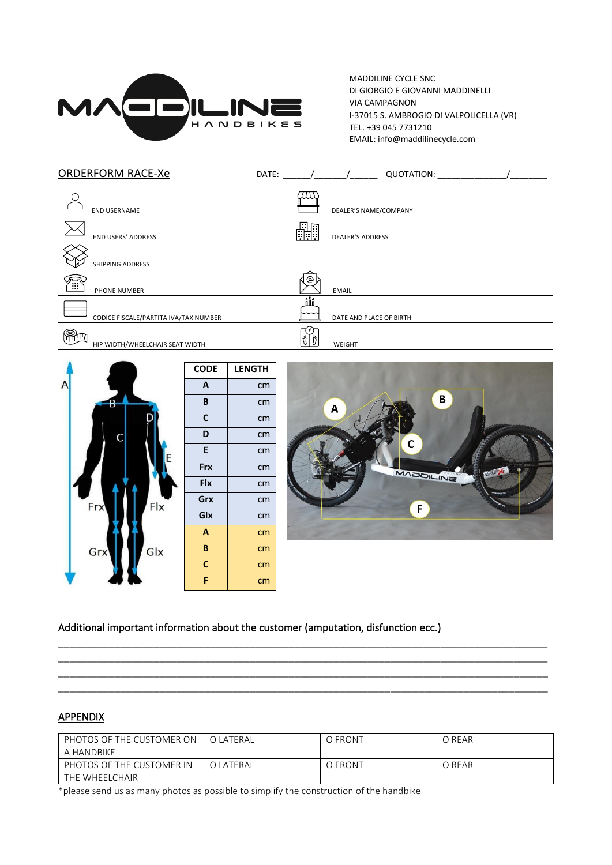

MADDILINE CYCLE SNC DI GIORGIO E GIOVANNI MADDINELLI VIA CAMPAGNON I-37015 S. AMBROGIO DI VALPOLICELLA (VR) TEL. +39 045 7731210 EMAIL: info@maddilinecycle.com

| <b>ORDERFORM RACE-Xe</b>                    | DATE:<br>QUOTATION:           |
|---------------------------------------------|-------------------------------|
| <b>END USERNAME</b>                         | 711)<br>DEALER'S NAME/COMPANY |
| <b>END USERS' ADDRESS</b>                   | H<br><b>DEALER'S ADDRESS</b>  |
| <b>SHIPPING ADDRESS</b>                     |                               |
| <br>أ<br>PHONE NUMBER                       | @<br><b>EMAIL</b>             |
| --<br>CODICE FISCALE/PARTITA IVA/TAX NUMBER | ñÑ<br>DATE AND PLACE OF BIRTH |
| ම්<br>HIP WIDTH/WHEELCHAIR SEAT WIDTH       | WEIGHT                        |





## Additional important information about the customer (amputation, disfunction ecc.)

## **APPENDIX**

| PHOTOS OF THE CUSTOMER ON | O LATERAL | O FRONT | O REAR |
|---------------------------|-----------|---------|--------|
| A HANDBIKE                |           |         |        |
| PHOTOS OF THE CUSTOMER IN | O LATERAL | O FRONT | O REAR |
| THE WHEELCHAIR            |           |         |        |

\_\_\_\_\_\_\_\_\_\_\_\_\_\_\_\_\_\_\_\_\_\_\_\_\_\_\_\_\_\_\_\_\_\_\_\_\_\_\_\_\_\_\_\_\_\_\_\_\_\_\_\_\_\_\_\_\_\_\_\_\_\_\_\_\_\_\_\_\_\_\_\_\_\_\_\_\_\_\_\_\_\_\_\_\_\_\_ \_\_\_\_\_\_\_\_\_\_\_\_\_\_\_\_\_\_\_\_\_\_\_\_\_\_\_\_\_\_\_\_\_\_\_\_\_\_\_\_\_\_\_\_\_\_\_\_\_\_\_\_\_\_\_\_\_\_\_\_\_\_\_\_\_\_\_\_\_\_\_\_\_\_\_\_\_\_\_\_\_\_\_\_\_\_\_ \_\_\_\_\_\_\_\_\_\_\_\_\_\_\_\_\_\_\_\_\_\_\_\_\_\_\_\_\_\_\_\_\_\_\_\_\_\_\_\_\_\_\_\_\_\_\_\_\_\_\_\_\_\_\_\_\_\_\_\_\_\_\_\_\_\_\_\_\_\_\_\_\_\_\_\_\_\_\_\_\_\_\_\_\_\_\_ \_\_\_\_\_\_\_\_\_\_\_\_\_\_\_\_\_\_\_\_\_\_\_\_\_\_\_\_\_\_\_\_\_\_\_\_\_\_\_\_\_\_\_\_\_\_\_\_\_\_\_\_\_\_\_\_\_\_\_\_\_\_\_\_\_\_\_\_\_\_\_\_\_\_\_\_\_\_\_\_\_\_\_\_\_\_\_

\*please send us as many photos as possible to simplify the construction of the handbike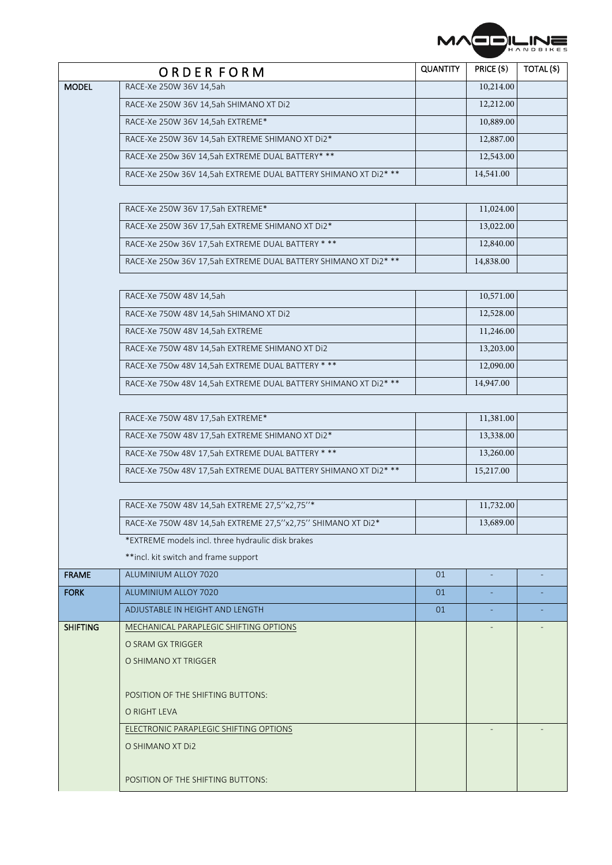

|                 | ORDER FORM                                                      | <b>QUANTITY</b> | PRICE (\$) | TOTAL(\$) |
|-----------------|-----------------------------------------------------------------|-----------------|------------|-----------|
| <b>MODEL</b>    | RACE-Xe 250W 36V 14,5ah                                         |                 | 10,214.00  |           |
|                 | RACE-Xe 250W 36V 14,5ah SHIMANO XT Di2                          |                 | 12,212.00  |           |
|                 | RACE-Xe 250W 36V 14,5ah EXTREME*                                |                 | 10,889.00  |           |
|                 | RACE-Xe 250W 36V 14,5ah EXTREME SHIMANO XT Di2*                 |                 | 12,887.00  |           |
|                 | RACE-Xe 250w 36V 14,5ah EXTREME DUAL BATTERY* **                |                 | 12,543.00  |           |
|                 | RACE-Xe 250w 36V 14,5ah EXTREME DUAL BATTERY SHIMANO XT Di2* ** |                 | 14,541.00  |           |
|                 |                                                                 |                 |            |           |
|                 | RACE-Xe 250W 36V 17,5ah EXTREME*                                |                 | 11,024.00  |           |
|                 | RACE-Xe 250W 36V 17,5ah EXTREME SHIMANO XT Di2*                 |                 | 13,022.00  |           |
|                 | RACE-Xe 250w 36V 17,5ah EXTREME DUAL BATTERY ***                |                 | 12,840.00  |           |
|                 | RACE-Xe 250w 36V 17,5ah EXTREME DUAL BATTERY SHIMANO XT Di2* ** |                 | 14,838.00  |           |
|                 |                                                                 |                 |            |           |
|                 | RACE-Xe 750W 48V 14,5ah                                         |                 | 10,571.00  |           |
|                 | RACE-Xe 750W 48V 14,5ah SHIMANO XT Di2                          |                 | 12,528.00  |           |
|                 | RACE-Xe 750W 48V 14,5ah EXTREME                                 |                 | 11,246.00  |           |
|                 | RACE-Xe 750W 48V 14,5ah EXTREME SHIMANO XT Di2                  |                 | 13,203.00  |           |
|                 | RACE-Xe 750w 48V 14,5ah EXTREME DUAL BATTERY ***                |                 | 12,090.00  |           |
|                 | RACE-Xe 750w 48V 14,5ah EXTREME DUAL BATTERY SHIMANO XT Di2* ** |                 | 14,947.00  |           |
|                 |                                                                 |                 |            |           |
|                 | RACE-Xe 750W 48V 17,5ah EXTREME*                                |                 | 11,381.00  |           |
|                 | RACE-Xe 750W 48V 17,5ah EXTREME SHIMANO XT Di2*                 |                 | 13,338.00  |           |
|                 | RACE-Xe 750w 48V 17,5ah EXTREME DUAL BATTERY ***                |                 | 13,260.00  |           |
|                 | RACE-Xe 750w 48V 17,5ah EXTREME DUAL BATTERY SHIMANO XT Di2* ** |                 | 15,217.00  |           |
|                 |                                                                 |                 |            |           |
|                 | RACE-Xe 750W 48V 14,5ah EXTREME 27,5"x2,75"*                    |                 | 11,732.00  |           |
|                 | RACE-Xe 750W 48V 14,5ah EXTREME 27,5"x2,75" SHIMANO XT Di2*     |                 | 13,689.00  |           |
|                 | *EXTREME models incl. three hydraulic disk brakes               |                 |            |           |
|                 | **incl. kit switch and frame support                            |                 |            |           |
| <b>FRAME</b>    | ALUMINIUM ALLOY 7020                                            | 01              | ÷          |           |
| <b>FORK</b>     | ALUMINIUM ALLOY 7020                                            | 01              |            |           |
|                 | ADJUSTABLE IN HEIGHT AND LENGTH                                 | 01              |            |           |
| <b>SHIFTING</b> | MECHANICAL PARAPLEGIC SHIFTING OPTIONS                          |                 |            |           |
|                 | O SRAM GX TRIGGER                                               |                 |            |           |
|                 | O SHIMANO XT TRIGGER                                            |                 |            |           |
|                 |                                                                 |                 |            |           |
|                 | POSITION OF THE SHIFTING BUTTONS:                               |                 |            |           |
|                 | O RIGHT LEVA                                                    |                 |            |           |
|                 | ELECTRONIC PARAPLEGIC SHIFTING OPTIONS                          |                 |            |           |
|                 | O SHIMANO XT Di2                                                |                 |            |           |
|                 |                                                                 |                 |            |           |
|                 | POSITION OF THE SHIFTING BUTTONS:                               |                 |            |           |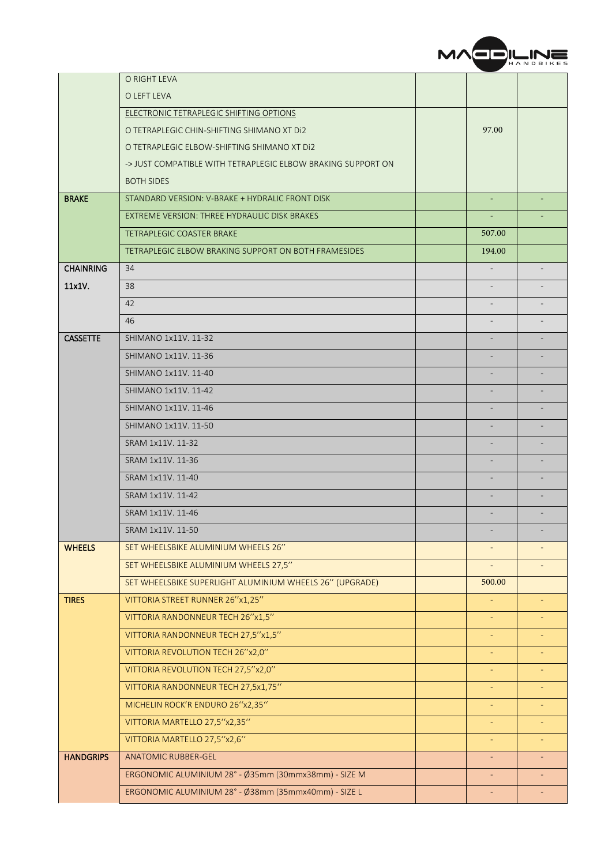

|                  | O RIGHT LEVA                                                 |                          |  |
|------------------|--------------------------------------------------------------|--------------------------|--|
|                  | O LEFT LEVA                                                  |                          |  |
|                  | ELECTRONIC TETRAPLEGIC SHIFTING OPTIONS                      |                          |  |
|                  | O TETRAPLEGIC CHIN-SHIFTING SHIMANO XT DI2                   | 97.00                    |  |
|                  | O TETRAPLEGIC ELBOW-SHIFTING SHIMANO XT DI2                  |                          |  |
|                  | -> JUST COMPATIBLE WITH TETRAPLEGIC ELBOW BRAKING SUPPORT ON |                          |  |
|                  | <b>BOTH SIDES</b>                                            |                          |  |
| <b>BRAKE</b>     | STANDARD VERSION: V-BRAKE + HYDRALIC FRONT DISK              |                          |  |
|                  | EXTREME VERSION: THREE HYDRAULIC DISK BRAKES                 |                          |  |
|                  | <b>TETRAPLEGIC COASTER BRAKE</b>                             | 507.00                   |  |
|                  | TETRAPLEGIC ELBOW BRAKING SUPPORT ON BOTH FRAMESIDES         | 194.00                   |  |
| <b>CHAINRING</b> | 34                                                           |                          |  |
| 11x1V.           | 38                                                           |                          |  |
|                  | 42                                                           |                          |  |
|                  | 46                                                           |                          |  |
| <b>CASSETTE</b>  | SHIMANO 1x11V. 11-32                                         |                          |  |
|                  | SHIMANO 1x11V, 11-36                                         |                          |  |
|                  | SHIMANO 1x11V, 11-40                                         |                          |  |
|                  | SHIMANO 1x11V, 11-42                                         |                          |  |
|                  | SHIMANO 1x11V, 11-46                                         |                          |  |
|                  | SHIMANO 1x11V. 11-50                                         |                          |  |
|                  | SRAM 1x11V. 11-32                                            |                          |  |
|                  | SRAM 1x11V. 11-36                                            |                          |  |
|                  | SRAM 1x11V. 11-40                                            |                          |  |
|                  | SRAM 1x11V, 11-42                                            |                          |  |
|                  | SRAM 1x11V. 11-46                                            |                          |  |
|                  | SRAM 1x11V, 11-50                                            |                          |  |
| <b>WHEELS</b>    | SET WHEELSBIKE ALUMINIUM WHEELS 26"                          |                          |  |
|                  | SET WHEELSBIKE ALUMINIUM WHEELS 27,5"                        |                          |  |
|                  | SET WHEELSBIKE SUPERLIGHT ALUMINIUM WHEELS 26" (UPGRADE)     | 500.00                   |  |
| <b>TIRES</b>     | VITTORIA STREET RUNNER 26"x1,25"                             |                          |  |
|                  | VITTORIA RANDONNEUR TECH 26"x1,5"                            |                          |  |
|                  | VITTORIA RANDONNEUR TECH 27,5"x1,5"                          |                          |  |
|                  | VITTORIA REVOLUTION TECH 26"x2,0"                            |                          |  |
|                  | VITTORIA REVOLUTION TECH 27,5"x2,0"                          |                          |  |
|                  | VITTORIA RANDONNEUR TECH 27,5x1,75"                          | $\equiv$                 |  |
|                  | MICHELIN ROCK'R ENDURO 26"x2,35"                             |                          |  |
|                  | VITTORIA MARTELLO 27,5"x2,35"                                | $\overline{\phantom{a}}$ |  |
|                  | VITTORIA MARTELLO 27,5"x2,6"                                 |                          |  |
| <b>HANDGRIPS</b> | <b>ANATOMIC RUBBER-GEL</b>                                   |                          |  |
|                  | ERGONOMIC ALUMINIUM 28° - Ø35mm (30mmx38mm) - SIZE M         |                          |  |
|                  | ERGONOMIC ALUMINIUM 28° - Ø38mm (35mmx40mm) - SIZE L         | $\overline{\phantom{a}}$ |  |